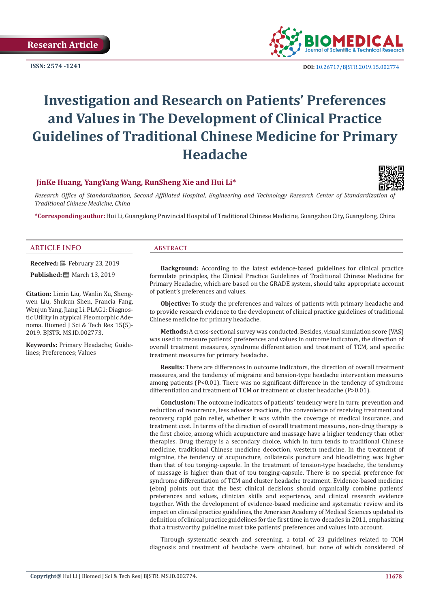**ISSN: 2574 -1241**



 **DOI:** [10.26717/BJSTR.2019.15.0027](http://dx.doi.org/10.26717/BJSTR.2019.15.002774)74

# **Investigation and Research on Patients' Preferences and Values in The Development of Clinical Practice Guidelines of Traditional Chinese Medicine for Primary Headache**

# **JinKe Huang, YangYang Wang, RunSheng Xie and Hui Li\***



Research Office of Standardization, Second Affiliated Hospital, Engineering and Technology Research Center of Standardization of *Traditional Chinese Medicine, China*

**\*Corresponding author:** Hui Li, Guangdong Provincial Hospital of Traditional Chinese Medicine, Guangzhou City, Guangdong, China

# **ARTICLE INFO abstract**

**Received:** February 23, 2019 **Published:** ■ March 13, 2019

**Citation:** Limin Liu, Wanlin Xu, Shengwen Liu, Shukun Shen, Francia Fang, Wenjun Yang, Jiang Li. PLAG1: Diagnostic Utility in atypical Pleomorphic Adenoma. Biomed J Sci & Tech Res 15(5)- 2019. BJSTR. MS.ID.002773.

**Keywords:** Primary Headache; Guidelines; Preferences; Values

**Background:** According to the latest evidence-based guidelines for clinical practice formulate principles, the Clinical Practice Guidelines of Traditional Chinese Medicine for Primary Headache, which are based on the GRADE system, should take appropriate account of patient's preferences and values.

**Objective:** To study the preferences and values of patients with primary headache and to provide research evidence to the development of clinical practice guidelines of traditional Chinese medicine for primary headache.

**Methods:** A cross-sectional survey was conducted. Besides, visual simulation score (VAS) was used to measure patients' preferences and values in outcome indicators, the direction of overall treatment measures, syndrome differentiation and treatment of TCM, and specific treatment measures for primary headache.

**Results:** There are differences in outcome indicators, the direction of overall treatment measures, and the tendency of migraine and tension-type headache intervention measures among patients (P<0.01). There was no significant difference in the tendency of syndrome differentiation and treatment of TCM or treatment of cluster headache (P>0.01).

**Conclusion:** The outcome indicators of patients' tendency were in turn: prevention and reduction of recurrence, less adverse reactions, the convenience of receiving treatment and recovery, rapid pain relief, whether it was within the coverage of medical insurance, and treatment cost. In terms of the direction of overall treatment measures, non-drug therapy is the first choice, among which acupuncture and massage have a higher tendency than other therapies. Drug therapy is a secondary choice, which in turn tends to traditional Chinese medicine, traditional Chinese medicine decoction, western medicine. In the treatment of migraine, the tendency of acupuncture, collaterals puncture and bloodletting was higher than that of tou tonging-capsule. In the treatment of tension-type headache, the tendency of massage is higher than that of tou tonging-capsule. There is no special preference for syndrome differentiation of TCM and cluster headache treatment. Evidence-based medicine (ebm) points out that the best clinical decisions should organically combine patients' preferences and values, clinician skills and experience, and clinical research evidence together. With the development of evidence-based medicine and systematic review and its impact on clinical practice guidelines, the American Academy of Medical Sciences updated its definition of clinical practice guidelines for the first time in two decades in 2011, emphasizing that a trustworthy guideline must take patients' preferences and values into account.

Through systematic search and screening, a total of 23 guidelines related to TCM diagnosis and treatment of headache were obtained, but none of which considered of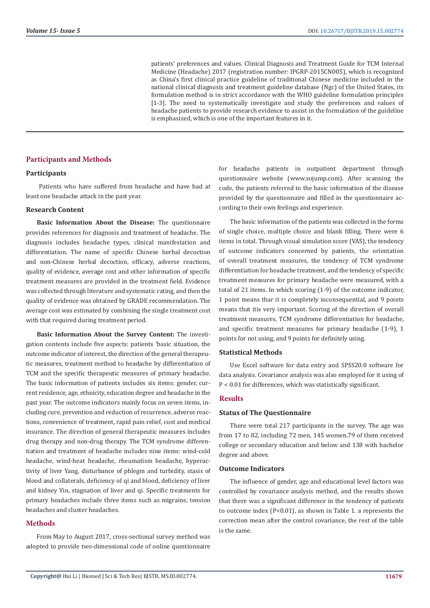patients' preferences and values. Clinical Diagnosis and Treatment Guide for TCM Internal Medicine (Headache) 2017 (registration number: IPGRP-2015CN005), which is recognized as China's first clinical practice guideline of traditional Chinese medicine included in the national clinical diagnosis and treatment guideline database (Ngc) of the United States, its formulation method is in strict accordance with the WHO guideline formulation principles [1-3]. The need to systematically investigate and study the preferences and values of headache patients to provide research evidence to assist in the formulation of the guideline is emphasized, which is one of the important features in it.

#### **Participants and Methods**

#### **Participants**

 Patients who have suffered from headache and have had at least one headache attack in the past year.

#### **Research Content**

**Basic Information About the Disease:** The questionnaire provides references for diagnosis and treatment of headache. The diagnosis includes headache types, clinical manifestation and differentiation. The name of specific Chinese herbal decoction and non-Chinese herbal decoction, efficacy, adverse reactions, quality of evidence, average cost and other information of specific treatment measures are provided in the treatment field. Evidence was collected through literature and systematic rating, and then the quality of evidence was obtained by GRADE recommendation. The average cost was estimated by combining the single treatment cost with that required during treatment period.

**Basic Information About the Survey Content:** The investigation contents include five aspects: patients 'basic situation, the outcome indicator of interest, the direction of the general therapeutic measures, treatment method to headache by differentiation of TCM and the specific therapeutic measures of primary headache. The basic information of patients includes six items: gender, current residence, age, ethnicity, education degree and headache in the past year. The outcome indicators mainly focus on seven items, including cure, prevention and reduction of recurrence, adverse reactions, convenience of treatment, rapid pain relief, cost and medical insurance. The direction of general therapeutic measures includes drug therapy and non-drug therapy. The TCM syndrome differentiation and treatment of headache includes nine items: wind-cold headache, wind-heat headache, rheumatism headache, hyperactivity of liver Yang, disturbance of phlegm and turbidity, stasis of blood and collaterals, deficiency of qi and blood, deficiency of liver and kidney Yin, stagnation of liver and qi. Specific treatments for primary headaches include three items such as migraine, tension headaches and cluster headaches.

# **Methods**

From May to August 2017, cross-sectional survey method was adopted to provide two-dimensional code of online questionnaire

for headache patients in outpatient department through questionnaire website (www.sojump.com). After scanning the code, the patients referred to the basic information of the disease provided by the questionnaire and filled in the questionnaire according to their own feelings and experience.

The basic information of the patients was collected in the forms of single choice, multiple choice and blank filling. There were 6 items in total. Through visual simulation score (VAS), the tendency of outcome indicators concerned by patients, the orientation of overall treatment measures, the tendency of TCM syndrome differentiation for headache treatment, and the tendency of specific treatment measures for primary headache were measured, with a total of 21 items. In which scoring (1-9) of the outcome indicator, 1 point means thar it is completely inconsequential, and 9 points means that itis very important. Scoring of the direction of overall treatment measures, TCM syndrome differentiation for headache, and specific treatment measures for primary headache (1-9), 1 points for not using, and 9 points for definitely using.

#### **Statistical Methods**

Use Excel software for data entry and SPSS20.0 software for data analysis. Covariance analysis was also employed for it using of P < 0.01 for differences, which was statistically significant.

#### **Results**

#### **Status of The Questionnaire**

There were total 217 participants in the survey. The age was from 17 to 82, including 72 men, 145 women.79 of them received college or secondary education and below and 138 with bachelor degree and above.

#### **Outcome Indicators**

The influence of gender, age and educational level factors was controlled by covariance analysis method, and the results shows that there was a significant difference in the tendency of patients to outcome index (P<0.01), as shown in Table 1. a represents the correction mean after the control covariance, the rest of the table is the same.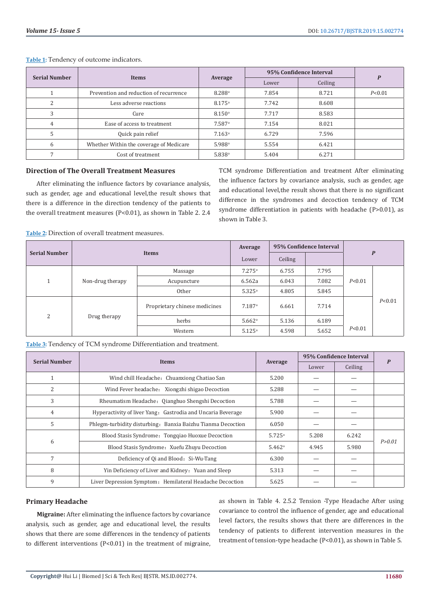**Table 1:** Tendency of outcome indicators.

| <b>Serial Number</b> | <b>Items</b>                            | Average              | 95% Confidence Interval | P       |        |
|----------------------|-----------------------------------------|----------------------|-------------------------|---------|--------|
|                      |                                         |                      | Lower                   | Ceiling |        |
|                      | Prevention and reduction of recurrence  | 8.288 <sup>a</sup>   | 7.854                   | 8.721   | P<0.01 |
| C                    | Less adverse reactions                  | $8.175$ <sup>a</sup> | 7.742                   | 8.608   |        |
|                      | Cure                                    | 8.150 <sup>a</sup>   | 7.717                   | 8.583   |        |
| 4                    | Ease of access to treatment             | 7.587 <sup>a</sup>   | 7.154                   | 8.021   |        |
|                      | Quick pain relief                       | 7.163a               | 6.729                   | 7.596   |        |
| $\mathsf{h}$         | Whether Within the coverage of Medicare | 5.988 <sup>a</sup>   | 5.554                   | 6.421   |        |
|                      | Cost of treatment                       | 5.838 <sup>a</sup>   | 5.404                   | 6.271   |        |

# **Direction of The Overall Treatment Measures**

After eliminating the influence factors by covariance analysis, such as gender, age and educational level,the result shows that there is a difference in the direction tendency of the patients to the overall treatment measures (P<0.01), as shown in Table 2. 2.4

TCM syndrome Differentiation and treatment After eliminating the influence factors by covariance analysis, such as gender, age and educational level,the result shows that there is no significant difference in the syndromes and decoction tendency of TCM syndrome differentiation in patients with headache (P>0.01), as shown in Table 3.

**Table 2:** Direction of overall treatment measures.

| <b>Serial Number</b> | <b>Items</b>     |                               | Average              | 95% Confidence Interval |       |              |          |
|----------------------|------------------|-------------------------------|----------------------|-------------------------|-------|--------------|----------|
|                      |                  |                               | Lower                | Ceiling                 |       | $\mathbf{P}$ |          |
|                      |                  | Massage                       | $7.275^{\circ}$      | 6.755                   | 7.795 |              |          |
| и                    | Non-drug therapy | Acupuncture                   | 6.562a               | 6.043                   | 7.082 | P < 0.01     |          |
|                      |                  | Other                         | 5.325a               | 4.805                   | 5.845 |              |          |
|                      |                  | Proprietary chinese medicines | 7.187a               | 6.661                   | 7.714 |              | P < 0.01 |
| 2                    | Drug therapy     | herbs                         | $5.662$ <sup>a</sup> | 5.136                   | 6.189 |              |          |
|                      |                  | Western                       | 5.125a               | 4.598                   | 5.652 | P < 0.01     |          |

**Table 3:** Tendency of TCM syndrome Differentiation and treatment.

| <b>Serial Number</b> |                                                             |                    | 95% Confidence Interval |         | P        |
|----------------------|-------------------------------------------------------------|--------------------|-------------------------|---------|----------|
|                      | <b>Items</b>                                                | Average            | Lower                   | Ceiling |          |
| 1                    | Wind chill Headache: Chuanxiong Chatiao San                 | 5.200              |                         |         |          |
| 2                    | Wind Fever headache: Xiongzhi shigao Decoction              | 5.288              |                         |         |          |
| 3                    | Rheumatism Headache: Qianghuo Shengshi Decoction            | 5.788              |                         |         |          |
| 4                    | Hyperactivity of liver Yang: Gastrodia and Uncaria Beverage | 5.900              |                         |         |          |
| 5                    | Phlegm-turbidity disturbing: Banxia Baizhu Tianma Decoction | 6.050              |                         |         |          |
|                      | Blood Stasis Syndrome: Tongqiao Huoxue Decoction            | 5.725a             | 5.208                   | 6.242   |          |
| 6                    | Blood Stasis Syndrome: Xuefu Zhuyu Decoction                | 5.462 <sup>a</sup> | 4.945                   | 5.980   | P > 0.01 |
| 7                    | Deficiency of Qi and Blood: Si-Wu-Tang                      | 6.300              |                         |         |          |
| 8                    | Yin Deficiency of Liver and Kidney: Yuan and Sleep          | 5.313              |                         |         |          |
| 9                    | Liver Depression Symptom: Hemilateral Headache Decoction    | 5.625              |                         |         |          |

# **Primary Headache**

**Migraine:** After eliminating the influence factors by covariance analysis, such as gender, age and educational level, the results shows that there are some differences in the tendency of patients to different interventions (P<0.01) in the treatment of migraine,

as shown in Table 4. 2.5.2 Tension -Type Headache After using covariance to control the influence of gender, age and educational level factors, the results shows that there are differences in the tendency of patients to different intervention measures in the treatment of tension-type headache (P<0.01), as shown in Table 5.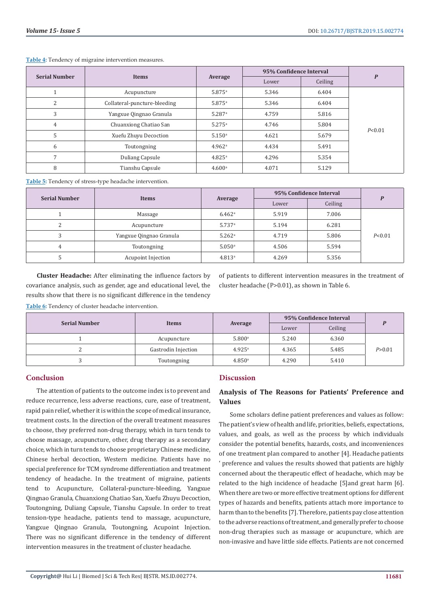| <b>Serial Number</b> | <b>Items</b>                 | Average              | 95% Confidence Interval |         | $\boldsymbol{P}$ |
|----------------------|------------------------------|----------------------|-------------------------|---------|------------------|
|                      |                              |                      | Lower                   | Ceiling |                  |
|                      | Acupuncture                  | 5.875a               | 5.346                   | 6.404   |                  |
| 2                    | Collateral-puncture-bleeding | $5.875^{\circ}$      | 5.346                   | 6.404   |                  |
| 3                    | Yangxue Qingnao Granula      | $5.287$ <sup>a</sup> | 4.759                   | 5.816   |                  |
| $\overline{4}$       | Chuanxiong Chatiao San       | $5.275^{\circ}$      | 4.746                   | 5.804   |                  |
| 5                    | Xuefu Zhuyu Decoction        | $5.150$ <sup>a</sup> | 4.621                   | 5.679   | P < 0.01         |
| 6                    | Toutongning                  | $4.962$ <sup>a</sup> | 4.434                   | 5.491   |                  |
| $\overline{7}$       | Duliang Capsule              | $4.825^{\circ}$      | 4.296                   | 5.354   |                  |
| 8                    | Tianshu Capsule              | 4.600 <sup>a</sup>   | 4.071                   | 5.129   |                  |

**Table 4:** Tendency of migraine intervention measures.

**Table 5:** Tendency of stress-type headache intervention.

|                      |                         | Average              | 95% Confidence Interval | D       |          |
|----------------------|-------------------------|----------------------|-------------------------|---------|----------|
| <b>Serial Number</b> | Items                   |                      | Lower                   | Ceiling |          |
|                      | Massage                 | $6.462^{\rm a}$      | 5.919                   | 7.006   |          |
| ∍                    | Acupuncture             | $5.737$ <sup>a</sup> | 5.194                   | 6.281   |          |
|                      | Yangxue Qingnao Granula | $5.262$ <sup>a</sup> | 4.719                   | 5.806   | P < 0.01 |
| 4                    | Toutongning             | $5.050$ <sup>a</sup> | 4.506                   | 5.594   |          |
|                      | Acupoint Injection      | 4.813 <sup>a</sup>   | 4.269                   | 5.356   |          |

**Cluster Headache:** After eliminating the influence factors by covariance analysis, such as gender, age and educational level, the results show that there is no significant difference in the tendency

of patients to different intervention measures in the treatment of cluster headache (P>0.01), as shown in Table 6.

**Table 6:** Tendency of cluster headache intervention.

| <b>Serial Number</b> | Items               |                    | 95% Confidence Interval |         |          |
|----------------------|---------------------|--------------------|-------------------------|---------|----------|
|                      |                     | Average            | Lower                   | Ceiling |          |
|                      | Acupuncture         | 5.800a             | 5.240                   | 6.360   |          |
| ∼                    | Gastrodin Injection | $4.925^{\rm a}$    | 4.365                   | 5.485   | P > 0.01 |
|                      | Toutongning         | 4.850 <sup>a</sup> | 4.290                   | 5.410   |          |

# **Conclusion**

The attention of patients to the outcome index is to prevent and reduce recurrence, less adverse reactions, cure, ease of treatment, rapid pain relief, whether it is within the scope of medical insurance, treatment costs. In the direction of the overall treatment measures to choose, they preferred non-drug therapy, which in turn tends to choose massage, acupuncture, other, drug therapy as a secondary choice, which in turn tends to choose proprietary Chinese medicine, Chinese herbal decoction, Western medicine. Patients have no special preference for TCM syndrome differentiation and treatment tendency of headache. In the treatment of migraine, patients tend to Acupuncture, Collateral-puncture-bleeding, Yangxue Qingnao Granula, Chuanxiong Chatiao San, Xuefu Zhuyu Decoction, Toutongning, Duliang Capsule, Tianshu Capsule. In order to treat tension-type headache, patients tend to massage, acupuncture, Yangxue Qingnao Granula, Toutongning, Acupoint Injection. There was no significant difference in the tendency of different intervention measures in the treatment of cluster headache.

# **Discussion**

# **Analysis of The Reasons for Patients' Preference and Values**

Some scholars define patient preferences and values as follow: The patient's view of health and life, priorities, beliefs, expectations, values, and goals, as well as the process by which individuals consider the potential benefits, hazards, costs, and inconveniences of one treatment plan compared to another [4]. Headache patients ' preference and values the results showed that patients are highly concerned about the therapeutic effect of headache, which may be related to the high incidence of headache [5]and great harm [6]. When there are two or more effective treatment options for different types of hazards and benefits, patients attach more importance to harm than to the benefits [7]. Therefore, patients pay close attention to the adverse reactions of treatment, and generally prefer to choose non-drug therapies such as massage or acupuncture, which are non-invasive and have little side effects. Patients are not concerned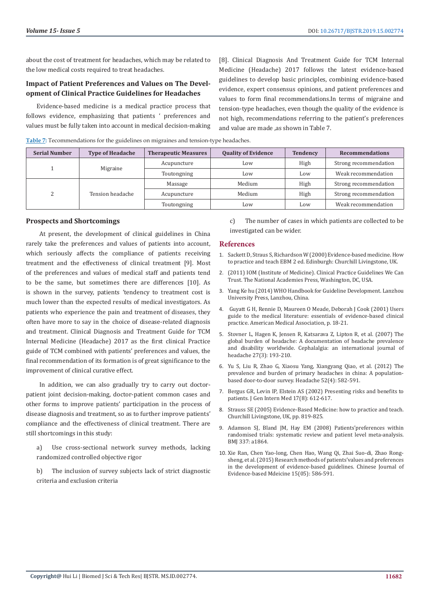about the cost of treatment for headaches, which may be related to the low medical costs required to treat headaches.

# **Impact of Patient Preferences and Values on The Development of Clinical Practice Guidelines for Headaches**

Evidence-based medicine is a medical practice process that follows evidence, emphasizing that patients ' preferences and values must be fully taken into account in medical decision-making [8]. Clinical Diagnosis And Treatment Guide for TCM Internal Medicine (Headache) 2017 follows the latest evidence-based guidelines to develop basic principles, combining evidence-based evidence, expert consensus opinions, and patient preferences and values to form final recommendations.In terms of migraine and tension-type headaches, even though the quality of the evidence is not high, recommendations referring to the patient's preferences and value are made ,as shown in Table 7.

| Table 7: Tecommendations for the guidelines on migraines and tension-type headaches. |  |  |  |
|--------------------------------------------------------------------------------------|--|--|--|
|--------------------------------------------------------------------------------------|--|--|--|

| <b>Serial Number</b> | <b>Type of Headache</b> | <b>Therapeutic Measures</b> | <b>Quality of Evidence</b> | <b>Tendency</b> | <b>Recommendations</b> |
|----------------------|-------------------------|-----------------------------|----------------------------|-----------------|------------------------|
|                      | Migraine                | Acupuncture                 | Low                        | High            | Strong recommendation  |
|                      |                         | Toutongning                 | Low                        | Low             | Weak recommendation    |
|                      | Tension headache        | Massage                     | Medium                     | High            | Strong recommendation  |
|                      |                         | Medium<br>Acupuncture       |                            | High            | Strong recommendation  |
|                      |                         | Toutongning                 | Low                        | Low             | Weak recommendation    |

#### **Prospects and Shortcomings**

 At present, the development of clinical guidelines in China rarely take the preferences and values of patients into account, which seriously affects the compliance of patients receiving treatment and the effectiveness of clinical treatment [9]. Most of the preferences and values of medical staff and patients tend to be the same, but sometimes there are differences [10]. As is shown in the survey, patients 'tendency to treatment cost is much lower than the expected results of medical investigators. As patients who experience the pain and treatment of diseases, they often have more to say in the choice of disease-related diagnosis and treatment. Clinical Diagnosis and Treatment Guide for TCM Internal Medicine (Headache) 2017 as the first clinical Practice guide of TCM combined with patients' preferences and values, the final recommendation of its formation is of great significance to the improvement of clinical curative effect.

 In addition, we can also gradually try to carry out doctorpatient joint decision-making, doctor-patient common cases and other forms to improve patients' participation in the process of disease diagnosis and treatment, so as to further improve patients' compliance and the effectiveness of clinical treatment. There are still shortcomings in this study:

- a) Use cross-sectional network survey methods, lacking randomized controlled objective rigor
- b) The inclusion of survey subjects lack of strict diagnostic criteria and exclusion criteria

c) The number of cases in which patients are collected to be investigated can be wider.

#### **References**

- 1. [Sackett D, Straus S, Richardson W \(2000\) Evidence-based medicine. How](https://trove.nla.gov.au/work/38685442?selectedversion=NBD21025729) [to practice and teach EBM 2 ed. Edinburgh: Churchill Livingstone, UK.](https://trove.nla.gov.au/work/38685442?selectedversion=NBD21025729)
- 2. [\(2011\) IOM \(Institute of Medicine\). Clinical Practice Guidelines We Can](http://data.care-statement.org/wp-content/uploads/2016/12/IOMGuidelines-2013-1.pdf) [Trust. The National Academies Press, Washington, DC, USA.](http://data.care-statement.org/wp-content/uploads/2016/12/IOMGuidelines-2013-1.pdf)
- 3. [Yang Ke hu \(2014\) WHO Handbook for Guideline Development. Lanzhou](https://apps.who.int/iris/bitstream/handle/10665/75146/9789241548441_eng.pdf?sequence=1) [University Press, Lanzhou, China.](https://apps.who.int/iris/bitstream/handle/10665/75146/9789241548441_eng.pdf?sequence=1)
- 4. Guyatt G H, Rennie D, Maureen O Meade, Deborah J Cook (2001) Users guide to the medical literature: essentials of evidence-based clinical practice. American Medical Association, p. 18-21.
- 5. [Stovner L, Hagen K, Jensen R, Katsarava Z, Lipton R, et al. \(2007\) The](https://www.ncbi.nlm.nih.gov/pubmed/17381554) [global burden of headache: A documentation of headache prevalence](https://www.ncbi.nlm.nih.gov/pubmed/17381554) [and disability worldwide. Cephalalgia: an international journal of](https://www.ncbi.nlm.nih.gov/pubmed/17381554) [headache 27\(3\): 193-210.](https://www.ncbi.nlm.nih.gov/pubmed/17381554)
- 6. [Yu S, Liu R, Zhao G, Xiaosu Yang, Xiangyang Qiao, et al. \(2012\) The](https://onlinelibrary.wiley.com/doi/abs/10.1111/j.1526-4610.2011.02061.x) [prevalence and burden of primary headaches in china: A population](https://onlinelibrary.wiley.com/doi/abs/10.1111/j.1526-4610.2011.02061.x)[based door-to-door survey. Headache 52\(4\): 582-591.](https://onlinelibrary.wiley.com/doi/abs/10.1111/j.1526-4610.2011.02061.x)
- 7. [Bergus GR, Levin IP, Elstein AS \(2002\) Presenting risks and benefits to](https://www.ncbi.nlm.nih.gov/pmc/articles/PMC1495093/) [patients. J Gen Intern Med 17\(8\): 612-617.](https://www.ncbi.nlm.nih.gov/pmc/articles/PMC1495093/)
- 8. Strauss SE (2005) Evidence-Based Medicine: how to practice and teach. Churchill Livingstone, UK, pp. 819-825.
- 9. [Adamson SJ, Bland JM, Hay EM \(2008\) Patients'preferences within](https://www.bmj.com/content/337/bmj.a1864) [randomised trials: systematic review and patient level meta-analysis.](https://www.bmj.com/content/337/bmj.a1864) [BMJ 337: a1864.](https://www.bmj.com/content/337/bmj.a1864)
- 10. Xie Ran, Chen Yao-long, Chen Hao, Wang Qi, Zhai Suo-di, Zhao Rongsheng, et al. (2015) Research methods of patients'values and preferences in the development of evidence-based guidelines. Chinese Journal of Evidence-based Mdeicine 15(05): 586-591.